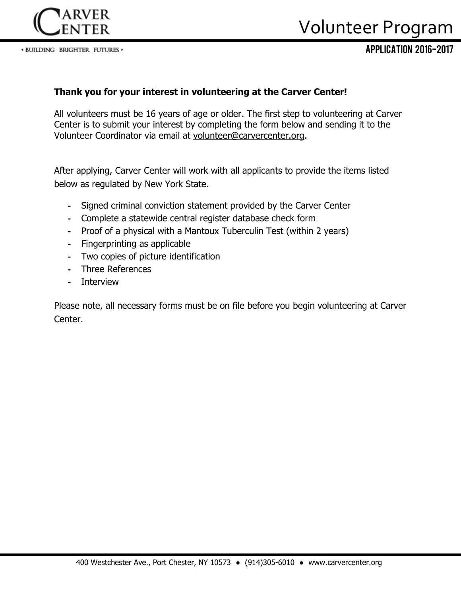

# Volunteer Program

Application 2016-2017

### **Thank you for your interest in volunteering at the Carver Center!**

All volunteers must be 16 years of age or older. The first step to volunteering at Carver Center is to submit your interest by completing the form below and sending it to the Volunteer Coordinator via email at [volunteer@carvercenter.org.](mailto:volunteer@carvercenter.org)

After applying, Carver Center will work with all applicants to provide the items listed below as regulated by New York State.

- **-** Signed criminal conviction statement provided by the Carver Center
- **-** Complete a statewide central register database check form
- **-** Proof of a physical with a Mantoux Tuberculin Test (within 2 years)
- **-** Fingerprinting as applicable
- **-** Two copies of picture identification
- **-** Three References
- **-** Interview

Please note, all necessary forms must be on file before you begin volunteering at Carver Center.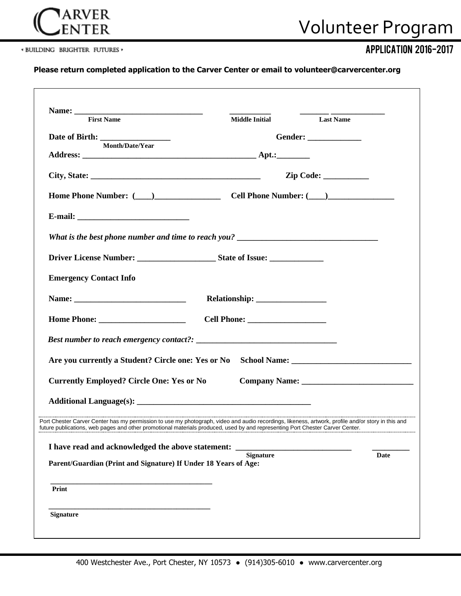

\* BUILDING BRIGHTER FUTURES »

### Application 2016-2017

#### **Please return completed application to the Carver Center or email to volunteer@carvercenter.org**

|                                                                                                                                                                                                                                                                                     |                  | Middle Initial Last Name |
|-------------------------------------------------------------------------------------------------------------------------------------------------------------------------------------------------------------------------------------------------------------------------------------|------------------|--------------------------|
| <b>First Name</b>                                                                                                                                                                                                                                                                   |                  |                          |
| Date of Birth: Month/Date/Year                                                                                                                                                                                                                                                      |                  | Gender: _____________    |
|                                                                                                                                                                                                                                                                                     |                  |                          |
|                                                                                                                                                                                                                                                                                     |                  |                          |
|                                                                                                                                                                                                                                                                                     |                  |                          |
| Home Phone Number: (Campber 2014) Cell Phone Number: (Campber 2014)                                                                                                                                                                                                                 |                  |                          |
|                                                                                                                                                                                                                                                                                     |                  |                          |
|                                                                                                                                                                                                                                                                                     |                  |                          |
|                                                                                                                                                                                                                                                                                     |                  |                          |
| <b>Emergency Contact Info</b>                                                                                                                                                                                                                                                       |                  |                          |
|                                                                                                                                                                                                                                                                                     |                  |                          |
|                                                                                                                                                                                                                                                                                     |                  |                          |
|                                                                                                                                                                                                                                                                                     |                  |                          |
|                                                                                                                                                                                                                                                                                     |                  |                          |
| <b>Currently Employed? Circle One: Yes or No</b>                                                                                                                                                                                                                                    |                  |                          |
|                                                                                                                                                                                                                                                                                     |                  |                          |
| Port Chester Carver Center has my permission to use my photograph, video and audio recordings, likeness, artwork, profile and/or story in this and<br>future publications, web pages and other promotional materials produced, used by and representing Port Chester Carver Center. |                  |                          |
| I have read and acknowledged the above statement:                                                                                                                                                                                                                                   |                  |                          |
| Parent/Guardian (Print and Signature) If Under 18 Years of Age:                                                                                                                                                                                                                     | <b>Signature</b> | Date                     |
| Print                                                                                                                                                                                                                                                                               |                  |                          |
|                                                                                                                                                                                                                                                                                     |                  |                          |